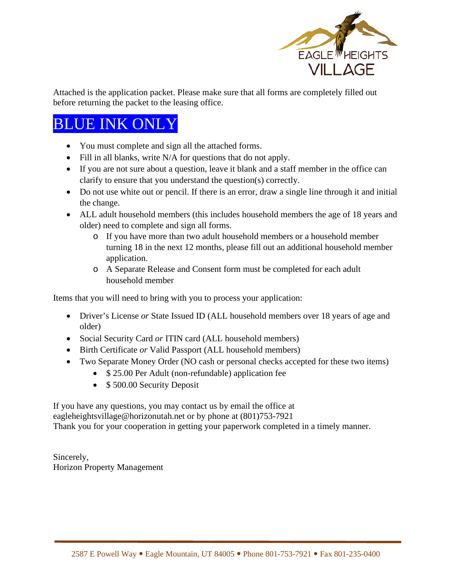

Attached is the application packet. Please make sure that all forms are completely filled out before returning the packet to the leasing office.

# BLUE INK ONLY

- You must complete and sign all the attached forms.
- Fill in all blanks, write N/A for questions that do not apply.
- If you are not sure about a question, leave it blank and a staff member in the office can clarify to ensure that you understand the question(s) correctly.
- Do not use white out or pencil. If there is an error, draw a single line through it and initial the change.
- ALL adult household members (this includes household members the age of 18 years and older) need to complete and sign all forms.
	- o If you have more than two adult household members or a household member turning 18 in the next 12 months, please fill out an additional household member application.
	- o A Separate Release and Consent form must be completed for each adult household member

Items that you will need to bring with you to process your application:

- Driver's License *or* State Issued ID (ALL household members over 18 years of age and older)
- Social Security Card *or* ITIN card (ALL household members)
- Birth Certificate *or* Valid Passport (ALL household members)
- Two Separate Money Order (NO cash or personal checks accepted for these two items)
	- \$ 25.00 Per Adult (non-refundable) application fee
	- \$500.00 Security Deposit

If you have any questions, you may contact us by email the office at eagleheightsvillage@horizonutah.net or by phone at (801)753-7921 Thank you for your cooperation in getting your paperwork completed in a timely manner.

Sincerely, Horizon Property Management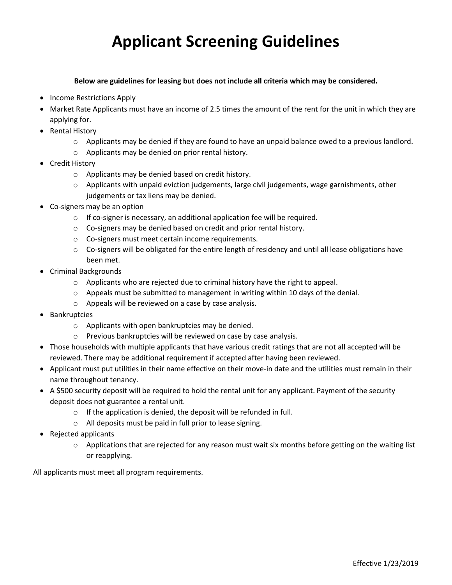# **Applicant Screening Guidelines**

### **Below are guidelines for leasing but does not include all criteria which may be considered.**

- Income Restrictions Apply
- Market Rate Applicants must have an income of 2.5 times the amount of the rent for the unit in which they are applying for.
- Rental History
	- $\circ$  Applicants may be denied if they are found to have an unpaid balance owed to a previous landlord.
	- o Applicants may be denied on prior rental history.
- Credit History
	- o Applicants may be denied based on credit history.
	- $\circ$  Applicants with unpaid eviction judgements, large civil judgements, wage garnishments, other judgements or tax liens may be denied.
- Co-signers may be an option
	- o If co-signer is necessary, an additional application fee will be required.
	- o Co-signers may be denied based on credit and prior rental history.
	- o Co-signers must meet certain income requirements.
	- $\circ$  Co-signers will be obligated for the entire length of residency and until all lease obligations have been met.
- Criminal Backgrounds
	- $\circ$  Applicants who are rejected due to criminal history have the right to appeal.
	- $\circ$  Appeals must be submitted to management in writing within 10 days of the denial.
	- o Appeals will be reviewed on a case by case analysis.
- Bankruptcies
	- o Applicants with open bankruptcies may be denied.
	- o Previous bankruptcies will be reviewed on case by case analysis.
- Those households with multiple applicants that have various credit ratings that are not all accepted will be reviewed. There may be additional requirement if accepted after having been reviewed.
- Applicant must put utilities in their name effective on their move-in date and the utilities must remain in their name throughout tenancy.
- A \$500 security deposit will be required to hold the rental unit for any applicant. Payment of the security deposit does not guarantee a rental unit.
	- o If the application is denied, the deposit will be refunded in full.
	- o All deposits must be paid in full prior to lease signing.
- Rejected applicants
	- $\circ$  Applications that are rejected for any reason must wait six months before getting on the waiting list or reapplying.

All applicants must meet all program requirements.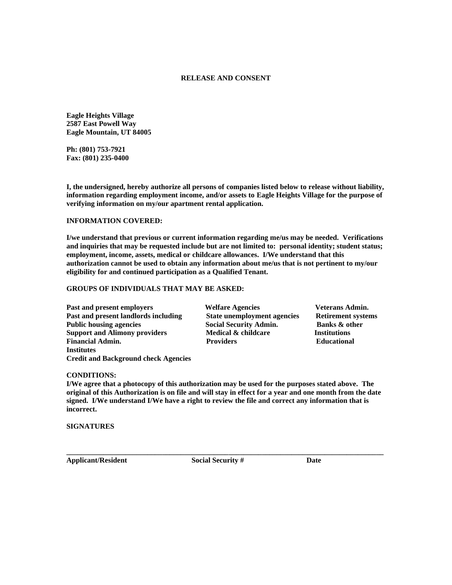### **RELEASE AND CONSENT**

**Eagle Heights Village 2587 East Powell Way Eagle Mountain, UT 84005** 

**Ph: (801) 753-7921 Fax: (801) 235-0400**

**I, the undersigned, hereby authorize all persons of companies listed below to release without liability, information regarding employment income, and/or assets to Eagle Heights Village for the purpose of verifying information on my/our apartment rental application.**

### **INFORMATION COVERED:**

**I/we understand that previous or current information regarding me/us may be needed. Verifications and inquiries that may be requested include but are not limited to: personal identity; student status; employment, income, assets, medical or childcare allowances. I/We understand that this authorization cannot be used to obtain any information about me/us that is not pertinent to my/our eligibility for and continued participation as a Qualified Tenant.**

### **GROUPS OF INDIVIDUALS THAT MAY BE ASKED:**

**Past and present employers Welfare Agencies Veterans Admin. Past and present landlords including State unemployment agencies Retirement systems Public housing agencies Social Security Admin. Banks & other Support and Alimony providers Medical & childcare Institutions Financial Admin. Providers Educational Institutes Credit and Background check Agencies**

#### **CONDITIONS:**

**I/We agree that a photocopy of this authorization may be used for the purposes stated above. The original of this Authorization is on file and will stay in effect for a year and one month from the date signed. I/We understand I/We have a right to review the file and correct any information that is incorrect.**

**SIGNATURES**

**Applicant/Resident Social Security # Date**

**\_\_\_\_\_\_\_\_\_\_\_\_\_\_\_\_\_\_\_\_\_\_\_\_\_\_\_\_\_\_\_\_\_\_\_\_\_\_\_\_\_\_\_\_\_\_\_\_\_\_\_\_\_\_\_\_\_\_\_\_\_\_\_\_\_\_\_\_\_\_\_\_\_\_\_\_\_\_\_\_\_\_\_\_\_\_**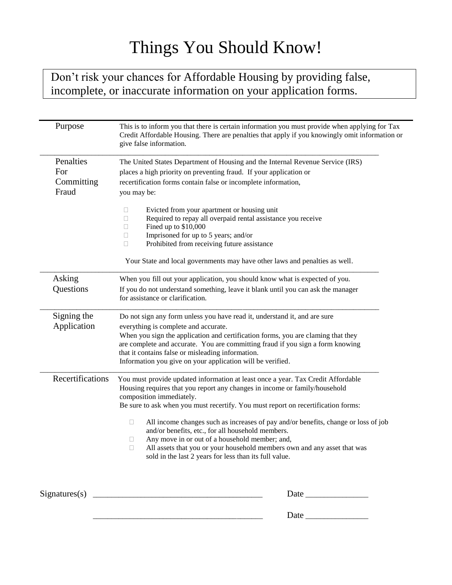# Things You Should Know!

Don't risk your chances for Affordable Housing by providing false, incomplete, or inaccurate information on your application forms.

| Purpose                                 | This is to inform you that there is certain information you must provide when applying for Tax<br>Credit Affordable Housing. There are penalties that apply if you knowingly omit information or<br>give false information.                                                                                                                                                                                                                                                                                                                                                                                                                 |
|-----------------------------------------|---------------------------------------------------------------------------------------------------------------------------------------------------------------------------------------------------------------------------------------------------------------------------------------------------------------------------------------------------------------------------------------------------------------------------------------------------------------------------------------------------------------------------------------------------------------------------------------------------------------------------------------------|
| Penalties<br>For<br>Committing<br>Fraud | The United States Department of Housing and the Internal Revenue Service (IRS)<br>places a high priority on preventing fraud. If your application or<br>recertification forms contain false or incomplete information,<br>you may be:<br>Evicted from your apartment or housing unit<br>u<br>Required to repay all overpaid rental assistance you receive<br>□<br>Fined up to \$10,000<br>□<br>Imprisoned for up to 5 years; and/or<br>u<br>Prohibited from receiving future assistance<br>П<br>Your State and local governments may have other laws and penalties as well.                                                                 |
| Asking<br>Questions                     | When you fill out your application, you should know what is expected of you.<br>If you do not understand something, leave it blank until you can ask the manager<br>for assistance or clarification.                                                                                                                                                                                                                                                                                                                                                                                                                                        |
| Signing the<br>Application              | Do not sign any form unless you have read it, understand it, and are sure<br>everything is complete and accurate.<br>When you sign the application and certification forms, you are claming that they<br>are complete and accurate. You are committing fraud if you sign a form knowing<br>that it contains false or misleading information.<br>Information you give on your application will be verified.                                                                                                                                                                                                                                  |
| Recertifications                        | You must provide updated information at least once a year. Tax Credit Affordable<br>Housing requires that you report any changes in income or family/household<br>composition immediately.<br>Be sure to ask when you must recertify. You must report on recertification forms:<br>All income changes such as increases of pay and/or benefits, change or loss of job<br>$\Box$<br>and/or benefits, etc., for all household members.<br>Any move in or out of a household member; and,<br>u<br>All assets that you or your household members own and any asset that was<br>$\Box$<br>sold in the last 2 years for less than its full value. |
|                                         |                                                                                                                                                                                                                                                                                                                                                                                                                                                                                                                                                                                                                                             |
|                                         |                                                                                                                                                                                                                                                                                                                                                                                                                                                                                                                                                                                                                                             |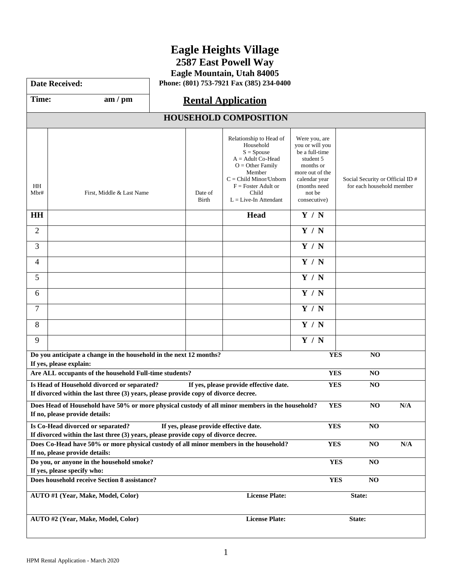# **Eagle Heights Village**

**2587 East Powell Way**

**Eagle Mountain, Utah 84005**

**Date Received: Phone: (801) 753-7921 Fax (385) 234-0400** 

## Time: am / pm | **Rental Application**

|                                                                                                                                                                                   | <b>HOUSEHOLD COMPOSITION</b>                                                                                                       |                  |                                                                                                                                                                                                      |                                                                                                                                                            |                                                               |     |  |  |
|-----------------------------------------------------------------------------------------------------------------------------------------------------------------------------------|------------------------------------------------------------------------------------------------------------------------------------|------------------|------------------------------------------------------------------------------------------------------------------------------------------------------------------------------------------------------|------------------------------------------------------------------------------------------------------------------------------------------------------------|---------------------------------------------------------------|-----|--|--|
| HH<br>Mbr#                                                                                                                                                                        | First, Middle & Last Name                                                                                                          | Date of<br>Birth | Relationship to Head of<br>Household<br>$S = Spouse$<br>$A =$ Adult Co-Head<br>$O =$ Other Family<br>Member<br>$C = Child Minor/Unborn$<br>$F = Foster$ Adult or<br>Child<br>$L = Live-In$ Attendant | Were you, are<br>you or will you<br>be a full-time<br>student 5<br>months or<br>more out of the<br>calendar year<br>(months need<br>not be<br>consecutive) | Social Security or Official ID #<br>for each household member |     |  |  |
| <b>HH</b>                                                                                                                                                                         |                                                                                                                                    |                  | <b>Head</b>                                                                                                                                                                                          | Y / N                                                                                                                                                      |                                                               |     |  |  |
| $\overline{2}$                                                                                                                                                                    |                                                                                                                                    |                  |                                                                                                                                                                                                      | Y / N                                                                                                                                                      |                                                               |     |  |  |
| 3                                                                                                                                                                                 |                                                                                                                                    |                  |                                                                                                                                                                                                      | Y / N                                                                                                                                                      |                                                               |     |  |  |
| 4                                                                                                                                                                                 |                                                                                                                                    |                  |                                                                                                                                                                                                      | Y / N                                                                                                                                                      |                                                               |     |  |  |
| 5                                                                                                                                                                                 |                                                                                                                                    |                  |                                                                                                                                                                                                      | Y / N                                                                                                                                                      |                                                               |     |  |  |
| 6                                                                                                                                                                                 |                                                                                                                                    |                  |                                                                                                                                                                                                      | Y / N                                                                                                                                                      |                                                               |     |  |  |
| 7                                                                                                                                                                                 |                                                                                                                                    |                  |                                                                                                                                                                                                      | Y / N                                                                                                                                                      |                                                               |     |  |  |
| 8                                                                                                                                                                                 |                                                                                                                                    |                  |                                                                                                                                                                                                      | Y / N                                                                                                                                                      |                                                               |     |  |  |
| 9                                                                                                                                                                                 |                                                                                                                                    |                  |                                                                                                                                                                                                      | Y / N                                                                                                                                                      |                                                               |     |  |  |
|                                                                                                                                                                                   | Do you anticipate a change in the household in the next 12 months?<br>If yes, please explain:                                      |                  |                                                                                                                                                                                                      | <b>YES</b>                                                                                                                                                 | N <sub>O</sub>                                                |     |  |  |
|                                                                                                                                                                                   | Are ALL occupants of the household Full-time students?                                                                             |                  |                                                                                                                                                                                                      | <b>YES</b>                                                                                                                                                 | NO                                                            |     |  |  |
|                                                                                                                                                                                   | Is Head of Household divorced or separated?<br>If divorced within the last three (3) years, please provide copy of divorce decree. |                  | If yes, please provide effective date.                                                                                                                                                               | <b>YES</b>                                                                                                                                                 | NO                                                            |     |  |  |
|                                                                                                                                                                                   | Does Head of Household have 50% or more physical custody of all minor members in the household?<br>If no, please provide details:  |                  |                                                                                                                                                                                                      | <b>YES</b>                                                                                                                                                 | NO                                                            | N/A |  |  |
| Is Co-Head divorced or separated?<br><b>YES</b><br>NO<br>If yes, please provide effective date.                                                                                   |                                                                                                                                    |                  |                                                                                                                                                                                                      |                                                                                                                                                            |                                                               |     |  |  |
| If divorced within the last three (3) years, please provide copy of divorce decree.                                                                                               |                                                                                                                                    |                  |                                                                                                                                                                                                      |                                                                                                                                                            |                                                               |     |  |  |
| Does Co-Head have 50% or more physical custody of all minor members in the household?<br><b>YES</b><br>$\mathbf{NO}$<br>$\mathbf{N}/\mathbf{A}$<br>If no, please provide details: |                                                                                                                                    |                  |                                                                                                                                                                                                      |                                                                                                                                                            |                                                               |     |  |  |
| Do you, or anyone in the household smoke?<br><b>YES</b><br>NO                                                                                                                     |                                                                                                                                    |                  |                                                                                                                                                                                                      |                                                                                                                                                            |                                                               |     |  |  |
| If yes, please specify who:<br>Does household receive Section 8 assistance?<br><b>YES</b><br>NO                                                                                   |                                                                                                                                    |                  |                                                                                                                                                                                                      |                                                                                                                                                            |                                                               |     |  |  |
| AUTO #1 (Year, Make, Model, Color)<br><b>License Plate:</b><br>State:                                                                                                             |                                                                                                                                    |                  |                                                                                                                                                                                                      |                                                                                                                                                            |                                                               |     |  |  |
| <b>License Plate:</b><br>AUTO #2 (Year, Make, Model, Color)<br>State:                                                                                                             |                                                                                                                                    |                  |                                                                                                                                                                                                      |                                                                                                                                                            |                                                               |     |  |  |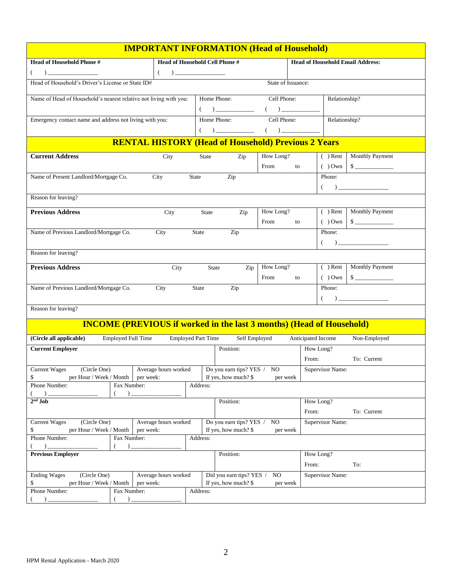| <b>IMPORTANT INFORMATION (Head of Household)</b>                                                                                                                                                                                                                                                                                                 |                                                                                                                                                                                                                                                                                                                                                                                                                                                                                                                              |              |                                                                                                                                                                                                                                                                                                                                                                                                                                                                                                             |             |                    |                  |                                                |  |  |
|--------------------------------------------------------------------------------------------------------------------------------------------------------------------------------------------------------------------------------------------------------------------------------------------------------------------------------------------------|------------------------------------------------------------------------------------------------------------------------------------------------------------------------------------------------------------------------------------------------------------------------------------------------------------------------------------------------------------------------------------------------------------------------------------------------------------------------------------------------------------------------------|--------------|-------------------------------------------------------------------------------------------------------------------------------------------------------------------------------------------------------------------------------------------------------------------------------------------------------------------------------------------------------------------------------------------------------------------------------------------------------------------------------------------------------------|-------------|--------------------|------------------|------------------------------------------------|--|--|
| <b>Head of Household Phone #</b>                                                                                                                                                                                                                                                                                                                 | Head of Household Cell Phone #                                                                                                                                                                                                                                                                                                                                                                                                                                                                                               |              |                                                                                                                                                                                                                                                                                                                                                                                                                                                                                                             |             |                    |                  | <b>Head of Household Email Address:</b>        |  |  |
| $\begin{picture}(20,20)(-0,0) \put(0,0){\line(1,0){10}} \put(15,0){\line(1,0){10}} \put(15,0){\line(1,0){10}} \put(15,0){\line(1,0){10}} \put(15,0){\line(1,0){10}} \put(15,0){\line(1,0){10}} \put(15,0){\line(1,0){10}} \put(15,0){\line(1,0){10}} \put(15,0){\line(1,0){10}} \put(15,0){\line(1,0){10}} \put(15,0){\line(1,0){10}} \put(15,0$ | $(\hspace{7mm})\overbrace{\hspace{7mm}}$                                                                                                                                                                                                                                                                                                                                                                                                                                                                                     |              |                                                                                                                                                                                                                                                                                                                                                                                                                                                                                                             |             |                    |                  |                                                |  |  |
| Head of Household's Driver's License or State ID#                                                                                                                                                                                                                                                                                                | State of Issuance:                                                                                                                                                                                                                                                                                                                                                                                                                                                                                                           |              |                                                                                                                                                                                                                                                                                                                                                                                                                                                                                                             |             |                    |                  |                                                |  |  |
| Name of Head of Household's nearest relative not living with you:                                                                                                                                                                                                                                                                                |                                                                                                                                                                                                                                                                                                                                                                                                                                                                                                                              |              | Home Phone:                                                                                                                                                                                                                                                                                                                                                                                                                                                                                                 |             | Cell Phone:        | Relationship?    |                                                |  |  |
|                                                                                                                                                                                                                                                                                                                                                  | $( \hspace{1cm} ) \underline{\hspace{1cm} (} \hspace{1cm} ) \underline{\hspace{1cm} (} \hspace{1cm} ) \underline{\hspace{1cm} (} \hspace{1cm} ) \underline{\hspace{1cm} (} \hspace{1cm} ) \underline{\hspace{1cm} (} \hspace{1cm} ) \underline{\hspace{1cm} (} \hspace{1cm} ) \underline{\hspace{1cm} (} \hspace{1cm} ) \underline{\hspace{1cm} (} \hspace{1cm} ) \underline{\hspace{1cm} (} \hspace{1cm} ) \underline{\hspace{1cm} (} \hspace{1cm} ) \underline{\hspace{1cm} (} \hspace{1cm} ) \underline$<br>Relationship? |              |                                                                                                                                                                                                                                                                                                                                                                                                                                                                                                             |             |                    |                  |                                                |  |  |
| Emergency contact name and address not living with you:                                                                                                                                                                                                                                                                                          |                                                                                                                                                                                                                                                                                                                                                                                                                                                                                                                              |              | Home Phone:                                                                                                                                                                                                                                                                                                                                                                                                                                                                                                 | Cell Phone: |                    |                  |                                                |  |  |
|                                                                                                                                                                                                                                                                                                                                                  |                                                                                                                                                                                                                                                                                                                                                                                                                                                                                                                              |              | $( \hspace{1cm} ) \underline{\hspace{1cm} (} \hspace{1cm} ) \underline{\hspace{1cm} (} \hspace{1cm} ) \underline{\hspace{1cm} (} \hspace{1cm} ) \underline{\hspace{1cm} (} \hspace{1cm} ) \underline{\hspace{1cm} (} \hspace{1cm} ) \underline{\hspace{1cm} (} \hspace{1cm} ) \underline{\hspace{1cm} (} \hspace{1cm} ) \underline{\hspace{1cm} (} \hspace{1cm} ) \underline{\hspace{1cm} (} \hspace{1cm} ) \underline{\hspace{1cm} (} \hspace{1cm} ) \underline{\hspace{1cm} (} \hspace{1cm} ) \underline$ |             |                    |                  |                                                |  |  |
|                                                                                                                                                                                                                                                                                                                                                  | <b>RENTAL HISTORY (Head of Household) Previous 2 Years</b>                                                                                                                                                                                                                                                                                                                                                                                                                                                                   |              |                                                                                                                                                                                                                                                                                                                                                                                                                                                                                                             |             |                    |                  |                                                |  |  |
| <b>Current Address</b>                                                                                                                                                                                                                                                                                                                           | City                                                                                                                                                                                                                                                                                                                                                                                                                                                                                                                         | State        | Zip                                                                                                                                                                                                                                                                                                                                                                                                                                                                                                         | How Long?   |                    | $( )$ Rent       | <b>Monthly Payment</b>                         |  |  |
|                                                                                                                                                                                                                                                                                                                                                  |                                                                                                                                                                                                                                                                                                                                                                                                                                                                                                                              |              |                                                                                                                                                                                                                                                                                                                                                                                                                                                                                                             | From        | to                 |                  | $( )$ Own $\Big  \$                            |  |  |
| Name of Present Landlord/Mortgage Co.                                                                                                                                                                                                                                                                                                            | City                                                                                                                                                                                                                                                                                                                                                                                                                                                                                                                         | State        | $\overline{Z}$ ip                                                                                                                                                                                                                                                                                                                                                                                                                                                                                           |             |                    | Phone:           |                                                |  |  |
|                                                                                                                                                                                                                                                                                                                                                  |                                                                                                                                                                                                                                                                                                                                                                                                                                                                                                                              |              |                                                                                                                                                                                                                                                                                                                                                                                                                                                                                                             |             |                    |                  | $\begin{pmatrix} 1 & 1 \\ 1 & 1 \end{pmatrix}$ |  |  |
| Reason for leaving?                                                                                                                                                                                                                                                                                                                              |                                                                                                                                                                                                                                                                                                                                                                                                                                                                                                                              |              |                                                                                                                                                                                                                                                                                                                                                                                                                                                                                                             |             |                    |                  |                                                |  |  |
| <b>Previous Address</b>                                                                                                                                                                                                                                                                                                                          | City                                                                                                                                                                                                                                                                                                                                                                                                                                                                                                                         | <b>State</b> | Zip                                                                                                                                                                                                                                                                                                                                                                                                                                                                                                         | How Long?   |                    |                  | ( ) Rent Monthly Payment                       |  |  |
|                                                                                                                                                                                                                                                                                                                                                  |                                                                                                                                                                                                                                                                                                                                                                                                                                                                                                                              |              |                                                                                                                                                                                                                                                                                                                                                                                                                                                                                                             | From        | to                 |                  | () Own S                                       |  |  |
| Name of Previous Landlord/Mortgage Co.                                                                                                                                                                                                                                                                                                           | City                                                                                                                                                                                                                                                                                                                                                                                                                                                                                                                         | State        | Zip                                                                                                                                                                                                                                                                                                                                                                                                                                                                                                         |             |                    | Phone:           |                                                |  |  |
| Reason for leaving?                                                                                                                                                                                                                                                                                                                              |                                                                                                                                                                                                                                                                                                                                                                                                                                                                                                                              |              |                                                                                                                                                                                                                                                                                                                                                                                                                                                                                                             |             |                    |                  |                                                |  |  |
|                                                                                                                                                                                                                                                                                                                                                  |                                                                                                                                                                                                                                                                                                                                                                                                                                                                                                                              |              |                                                                                                                                                                                                                                                                                                                                                                                                                                                                                                             |             |                    |                  |                                                |  |  |
| <b>Previous Address</b>                                                                                                                                                                                                                                                                                                                          | City                                                                                                                                                                                                                                                                                                                                                                                                                                                                                                                         |              | State<br>Zip                                                                                                                                                                                                                                                                                                                                                                                                                                                                                                | How Long?   |                    |                  | ( ) Rent   Monthly Payment                     |  |  |
|                                                                                                                                                                                                                                                                                                                                                  |                                                                                                                                                                                                                                                                                                                                                                                                                                                                                                                              |              | Zip                                                                                                                                                                                                                                                                                                                                                                                                                                                                                                         | From        | to                 | Phone:           |                                                |  |  |
| Name of Previous Landlord/Mortgage Co.                                                                                                                                                                                                                                                                                                           | City                                                                                                                                                                                                                                                                                                                                                                                                                                                                                                                         | State        | $( \hspace{2em} ) \underline{\hspace{2em}}$                                                                                                                                                                                                                                                                                                                                                                                                                                                                 |             |                    |                  |                                                |  |  |
| Reason for leaving?                                                                                                                                                                                                                                                                                                                              |                                                                                                                                                                                                                                                                                                                                                                                                                                                                                                                              |              |                                                                                                                                                                                                                                                                                                                                                                                                                                                                                                             |             |                    |                  |                                                |  |  |
|                                                                                                                                                                                                                                                                                                                                                  |                                                                                                                                                                                                                                                                                                                                                                                                                                                                                                                              |              |                                                                                                                                                                                                                                                                                                                                                                                                                                                                                                             |             |                    |                  |                                                |  |  |
| <b>INCOME (PREVIOUS if worked in the last 3 months) (Head of Household)</b>                                                                                                                                                                                                                                                                      |                                                                                                                                                                                                                                                                                                                                                                                                                                                                                                                              |              |                                                                                                                                                                                                                                                                                                                                                                                                                                                                                                             |             |                    |                  |                                                |  |  |
| (Circle all applicable)<br><b>Employed Full Time</b>                                                                                                                                                                                                                                                                                             | <b>Employed Part Time</b>                                                                                                                                                                                                                                                                                                                                                                                                                                                                                                    |              | Self Employed                                                                                                                                                                                                                                                                                                                                                                                                                                                                                               |             | Anticipated Income |                  | Non-Employed                                   |  |  |
| <b>Current Employer</b>                                                                                                                                                                                                                                                                                                                          |                                                                                                                                                                                                                                                                                                                                                                                                                                                                                                                              |              | Position:                                                                                                                                                                                                                                                                                                                                                                                                                                                                                                   |             |                    | How Long?        |                                                |  |  |
|                                                                                                                                                                                                                                                                                                                                                  |                                                                                                                                                                                                                                                                                                                                                                                                                                                                                                                              |              |                                                                                                                                                                                                                                                                                                                                                                                                                                                                                                             |             | From:              |                  | To: Current                                    |  |  |
| <b>Current Wages</b><br>(Circle One)<br>\$<br>per Hour / Week / Month per week:                                                                                                                                                                                                                                                                  | Average hours worked                                                                                                                                                                                                                                                                                                                                                                                                                                                                                                         |              | Do you earn tips? YES / NO<br>If yes, how much? \$                                                                                                                                                                                                                                                                                                                                                                                                                                                          | per week    |                    | Supervisor Name: |                                                |  |  |
| Phone Number:<br>Fax Number:                                                                                                                                                                                                                                                                                                                     |                                                                                                                                                                                                                                                                                                                                                                                                                                                                                                                              | Address:     |                                                                                                                                                                                                                                                                                                                                                                                                                                                                                                             |             |                    |                  |                                                |  |  |
| $)$ $-$<br>$)$ .<br>$2nd$ Job                                                                                                                                                                                                                                                                                                                    |                                                                                                                                                                                                                                                                                                                                                                                                                                                                                                                              |              | Position:                                                                                                                                                                                                                                                                                                                                                                                                                                                                                                   |             |                    | How Long?        |                                                |  |  |
|                                                                                                                                                                                                                                                                                                                                                  |                                                                                                                                                                                                                                                                                                                                                                                                                                                                                                                              |              |                                                                                                                                                                                                                                                                                                                                                                                                                                                                                                             |             | From:              |                  | To: Current                                    |  |  |
| <b>Current Wages</b><br>$(\text{Circle One})$                                                                                                                                                                                                                                                                                                    | Average hours worked                                                                                                                                                                                                                                                                                                                                                                                                                                                                                                         |              | Do you earn tips? YES / NO                                                                                                                                                                                                                                                                                                                                                                                                                                                                                  |             |                    | Supervisor Name: |                                                |  |  |
| per Hour / Week / Month<br>\$                                                                                                                                                                                                                                                                                                                    | per week:                                                                                                                                                                                                                                                                                                                                                                                                                                                                                                                    |              | If yes, how much? \$                                                                                                                                                                                                                                                                                                                                                                                                                                                                                        | per week    |                    |                  |                                                |  |  |
| Phone Number:<br>Fax Number:<br>$($ )<br>$)$ $-$                                                                                                                                                                                                                                                                                                 |                                                                                                                                                                                                                                                                                                                                                                                                                                                                                                                              | Address:     |                                                                                                                                                                                                                                                                                                                                                                                                                                                                                                             |             |                    |                  |                                                |  |  |
| <b>Previous Employer</b>                                                                                                                                                                                                                                                                                                                         |                                                                                                                                                                                                                                                                                                                                                                                                                                                                                                                              |              | Position:                                                                                                                                                                                                                                                                                                                                                                                                                                                                                                   |             |                    | How Long?        |                                                |  |  |
|                                                                                                                                                                                                                                                                                                                                                  |                                                                                                                                                                                                                                                                                                                                                                                                                                                                                                                              |              |                                                                                                                                                                                                                                                                                                                                                                                                                                                                                                             |             | From:              |                  | To:                                            |  |  |
| <b>Ending Wages</b><br>(Circle One)                                                                                                                                                                                                                                                                                                              | Average hours worked                                                                                                                                                                                                                                                                                                                                                                                                                                                                                                         |              | Did you earn tips? YES / NO                                                                                                                                                                                                                                                                                                                                                                                                                                                                                 |             |                    | Supervisor Name: |                                                |  |  |
| \$<br>per Hour / Week / Month   per week:<br>Phone Number:<br>Fax Number:                                                                                                                                                                                                                                                                        |                                                                                                                                                                                                                                                                                                                                                                                                                                                                                                                              | Address:     | If yes, how much? $$$                                                                                                                                                                                                                                                                                                                                                                                                                                                                                       | per week    |                    |                  |                                                |  |  |
|                                                                                                                                                                                                                                                                                                                                                  |                                                                                                                                                                                                                                                                                                                                                                                                                                                                                                                              |              |                                                                                                                                                                                                                                                                                                                                                                                                                                                                                                             |             |                    |                  |                                                |  |  |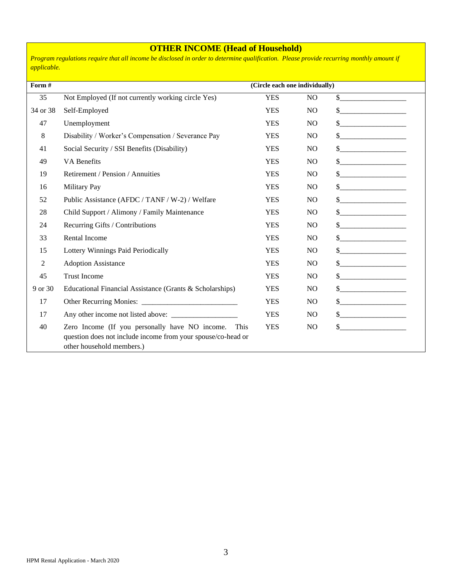## **OTHER INCOME (Head of Household)**

*Program regulations require that all income be disclosed in order to determine qualification. Please provide recurring monthly amount if applicable.*

| Form #         |                                                                                                                                                  | (Circle each one individually) |                |                                                                                                                                                                                                                                                                                                                                                                                                                                                                                                                                                |
|----------------|--------------------------------------------------------------------------------------------------------------------------------------------------|--------------------------------|----------------|------------------------------------------------------------------------------------------------------------------------------------------------------------------------------------------------------------------------------------------------------------------------------------------------------------------------------------------------------------------------------------------------------------------------------------------------------------------------------------------------------------------------------------------------|
| 35             | Not Employed (If not currently working circle Yes)                                                                                               | <b>YES</b>                     | N <sub>O</sub> | $\qquad \qquad \bullet$                                                                                                                                                                                                                                                                                                                                                                                                                                                                                                                        |
| 34 or 38       | Self-Employed                                                                                                                                    | <b>YES</b>                     | N <sub>O</sub> | $\begin{picture}(20,10) \put(0,0){\line(1,0){10}} \put(15,0){\line(1,0){10}} \put(15,0){\line(1,0){10}} \put(15,0){\line(1,0){10}} \put(15,0){\line(1,0){10}} \put(15,0){\line(1,0){10}} \put(15,0){\line(1,0){10}} \put(15,0){\line(1,0){10}} \put(15,0){\line(1,0){10}} \put(15,0){\line(1,0){10}} \put(15,0){\line(1,0){10}} \put(15,0){\line(1$                                                                                                                                                                                            |
| 47             | Unemployment                                                                                                                                     | <b>YES</b>                     | N <sub>O</sub> | \$                                                                                                                                                                                                                                                                                                                                                                                                                                                                                                                                             |
| 8              | Disability / Worker's Compensation / Severance Pay                                                                                               | <b>YES</b>                     | N <sub>O</sub> | $\begin{array}{c} \n \text{S} \quad \text{S} \quad \text{S} \quad \text{S} \quad \text{S} \quad \text{S} \quad \text{S} \quad \text{S} \quad \text{S} \quad \text{S} \quad \text{S} \quad \text{S} \quad \text{S} \quad \text{S} \quad \text{S} \quad \text{S} \quad \text{S} \quad \text{S} \quad \text{S} \quad \text{S} \quad \text{S} \quad \text{S} \quad \text{S} \quad \text{S} \quad \text{S} \quad \text{S} \quad \text{S} \quad \text{S} \quad \text{S} \quad \text{S} \quad \$                                                      |
| 41             | Social Security / SSI Benefits (Disability)                                                                                                      | <b>YES</b>                     | N <sub>O</sub> |                                                                                                                                                                                                                                                                                                                                                                                                                                                                                                                                                |
| 49             | <b>VA Benefits</b>                                                                                                                               | <b>YES</b>                     | N <sub>O</sub> | $\begin{picture}(20,10) \put(0,0){\line(1,0){10}} \put(15,0){\line(1,0){10}} \put(15,0){\line(1,0){10}} \put(15,0){\line(1,0){10}} \put(15,0){\line(1,0){10}} \put(15,0){\line(1,0){10}} \put(15,0){\line(1,0){10}} \put(15,0){\line(1,0){10}} \put(15,0){\line(1,0){10}} \put(15,0){\line(1,0){10}} \put(15,0){\line(1,0){10}} \put(15,0){\line(1$                                                                                                                                                                                            |
| 19             | Retirement / Pension / Annuities                                                                                                                 | <b>YES</b>                     | N <sub>O</sub> | $\begin{array}{c c c c c c} \hline \multicolumn{3}{c }{\textbf{\textcolor{red}{\bf S}}}\quad \textbf{\textcolor{red}{\bf S}}\quad \textbf{\textcolor{red}{\bf S}}\quad \textbf{\textcolor{red}{\bf S}}\quad \textbf{\textcolor{red}{\bf S}}\quad \textbf{\textcolor{red}{\bf S}}\quad \textbf{\textcolor{red}{\bf S}}\quad \textbf{\textcolor{red}{\bf S}}\quad \textbf{\textcolor{red}{\bf S}}\quad \textbf{\textcolor{red}{\bf S}}\quad \textbf{\textcolor{red}{\bf S}}\quad \textbf{\textcolor{red}{\bf S}}\quad \textbf{\textcolor{red}{\$ |
| 16             | <b>Military Pay</b>                                                                                                                              | <b>YES</b>                     | N <sub>O</sub> | $\frac{1}{2}$                                                                                                                                                                                                                                                                                                                                                                                                                                                                                                                                  |
| 52             | Public Assistance (AFDC / TANF / W-2) / Welfare                                                                                                  | <b>YES</b>                     | N <sub>O</sub> |                                                                                                                                                                                                                                                                                                                                                                                                                                                                                                                                                |
| 28             | Child Support / Alimony / Family Maintenance                                                                                                     | <b>YES</b>                     | N <sub>O</sub> | $\begin{picture}(20,10) \put(0,0){\vector(1,0){100}} \put(15,0){\vector(1,0){100}} \put(15,0){\vector(1,0){100}} \put(15,0){\vector(1,0){100}} \put(15,0){\vector(1,0){100}} \put(15,0){\vector(1,0){100}} \put(15,0){\vector(1,0){100}} \put(15,0){\vector(1,0){100}} \put(15,0){\vector(1,0){100}} \put(15,0){\vector(1,0){100}} \put(15,0){\vector(1,0){100}} \$                                                                                                                                                                            |
| 24             | Recurring Gifts / Contributions                                                                                                                  | <b>YES</b>                     | N <sub>O</sub> | $\begin{picture}(20,10) \put(0,0){\line(1,0){10}} \put(15,0){\line(1,0){10}} \put(15,0){\line(1,0){10}} \put(15,0){\line(1,0){10}} \put(15,0){\line(1,0){10}} \put(15,0){\line(1,0){10}} \put(15,0){\line(1,0){10}} \put(15,0){\line(1,0){10}} \put(15,0){\line(1,0){10}} \put(15,0){\line(1,0){10}} \put(15,0){\line(1,0){10}} \put(15,0){\line(1$                                                                                                                                                                                            |
| 33             | <b>Rental Income</b>                                                                                                                             | <b>YES</b>                     | N <sub>O</sub> | $\sim$                                                                                                                                                                                                                                                                                                                                                                                                                                                                                                                                         |
| 15             | Lottery Winnings Paid Periodically                                                                                                               | <b>YES</b>                     | N <sub>O</sub> | $\begin{picture}(20,10) \put(0,0){\line(1,0){10}} \put(15,0){\line(1,0){10}} \put(15,0){\line(1,0){10}} \put(15,0){\line(1,0){10}} \put(15,0){\line(1,0){10}} \put(15,0){\line(1,0){10}} \put(15,0){\line(1,0){10}} \put(15,0){\line(1,0){10}} \put(15,0){\line(1,0){10}} \put(15,0){\line(1,0){10}} \put(15,0){\line(1,0){10}} \put(15,0){\line(1$                                                                                                                                                                                            |
| $\overline{2}$ | <b>Adoption Assistance</b>                                                                                                                       | <b>YES</b>                     | N <sub>O</sub> | $\begin{picture}(20,10) \put(0,0){\line(1,0){10}} \put(15,0){\line(1,0){10}} \put(15,0){\line(1,0){10}} \put(15,0){\line(1,0){10}} \put(15,0){\line(1,0){10}} \put(15,0){\line(1,0){10}} \put(15,0){\line(1,0){10}} \put(15,0){\line(1,0){10}} \put(15,0){\line(1,0){10}} \put(15,0){\line(1,0){10}} \put(15,0){\line(1,0){10}} \put(15,0){\line(1$                                                                                                                                                                                            |
| 45             | <b>Trust Income</b>                                                                                                                              | <b>YES</b>                     | N <sub>O</sub> |                                                                                                                                                                                                                                                                                                                                                                                                                                                                                                                                                |
| 9 or 30        | Educational Financial Assistance (Grants & Scholarships)                                                                                         | <b>YES</b>                     | N <sub>O</sub> | $\begin{picture}(20,20) \put(0,0){\line(1,0){100}} \put(15,0){\line(1,0){100}} \put(15,0){\line(1,0){100}} \put(15,0){\line(1,0){100}} \put(15,0){\line(1,0){100}} \put(15,0){\line(1,0){100}} \put(15,0){\line(1,0){100}} \put(15,0){\line(1,0){100}} \put(15,0){\line(1,0){100}} \put(15,0){\line(1,0){100}} \put(15,0){\line(1,0){100}} \$                                                                                                                                                                                                  |
| 17             |                                                                                                                                                  | <b>YES</b>                     | N <sub>O</sub> |                                                                                                                                                                                                                                                                                                                                                                                                                                                                                                                                                |
| 17             |                                                                                                                                                  | <b>YES</b>                     | N <sub>O</sub> | $\frac{1}{2}$                                                                                                                                                                                                                                                                                                                                                                                                                                                                                                                                  |
| 40             | Zero Income (If you personally have NO income. This<br>question does not include income from your spouse/co-head or<br>other household members.) | <b>YES</b>                     | N <sub>O</sub> | $\frac{1}{1}$                                                                                                                                                                                                                                                                                                                                                                                                                                                                                                                                  |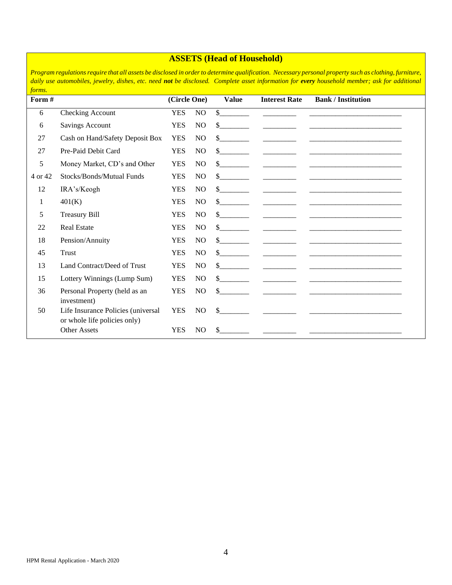## **ASSETS (Head of Household)**

*Program regulations require that all assets be disclosed in order to determine qualification. Necessary personal property such as clothing, furniture, daily use automobiles, jewelry, dishes, etc. need not be disclosed. Complete asset information for every household member; ask for additional forms.*

| Form #  |                                                                    |            | (Circle One)   | <b>Value</b>                                                                                                                                                                                                                                                                                                                                                                 | <b>Interest Rate</b>                                                                                                                                                                                                                                                                                                                                                                                                                                  | <b>Bank / Institution</b>                                                                                                                                                                                                         |
|---------|--------------------------------------------------------------------|------------|----------------|------------------------------------------------------------------------------------------------------------------------------------------------------------------------------------------------------------------------------------------------------------------------------------------------------------------------------------------------------------------------------|-------------------------------------------------------------------------------------------------------------------------------------------------------------------------------------------------------------------------------------------------------------------------------------------------------------------------------------------------------------------------------------------------------------------------------------------------------|-----------------------------------------------------------------------------------------------------------------------------------------------------------------------------------------------------------------------------------|
| 6       | Checking Account                                                   | <b>YES</b> | N <sub>O</sub> | \$                                                                                                                                                                                                                                                                                                                                                                           |                                                                                                                                                                                                                                                                                                                                                                                                                                                       |                                                                                                                                                                                                                                   |
| 6       | <b>Savings Account</b>                                             | <b>YES</b> | N <sub>O</sub> | $\mathbb{S}$                                                                                                                                                                                                                                                                                                                                                                 |                                                                                                                                                                                                                                                                                                                                                                                                                                                       |                                                                                                                                                                                                                                   |
| 27      | Cash on Hand/Safety Deposit Box                                    | <b>YES</b> | N <sub>O</sub> | $\sim$                                                                                                                                                                                                                                                                                                                                                                       |                                                                                                                                                                                                                                                                                                                                                                                                                                                       |                                                                                                                                                                                                                                   |
| 27      | Pre-Paid Debit Card                                                | <b>YES</b> | N <sub>O</sub> | $\mathbb{S}$                                                                                                                                                                                                                                                                                                                                                                 | and the control of the control of                                                                                                                                                                                                                                                                                                                                                                                                                     |                                                                                                                                                                                                                                   |
| 5       | Money Market, CD's and Other                                       | <b>YES</b> | N <sub>O</sub> | $\frac{1}{2}$                                                                                                                                                                                                                                                                                                                                                                |                                                                                                                                                                                                                                                                                                                                                                                                                                                       |                                                                                                                                                                                                                                   |
| 4 or 42 | Stocks/Bonds/Mutual Funds                                          | <b>YES</b> | N <sub>O</sub> | $\sim$                                                                                                                                                                                                                                                                                                                                                                       | and the control of the control of                                                                                                                                                                                                                                                                                                                                                                                                                     |                                                                                                                                                                                                                                   |
| 12      | IRA's/Keogh                                                        | <b>YES</b> | N <sub>O</sub> | $\frac{\S_{\frac{1}{2}}}{\S_{\frac{1}{2}}}{\S_{\frac{1}{2}}}{\S_{\frac{1}{2}}}{\S_{\frac{1}{2}}}{\S_{\frac{1}{2}}}{\S_{\frac{1}{2}}}{\S_{\frac{1}{2}}}{\S_{\frac{1}{2}}}{\S_{\frac{1}{2}}}{\S_{\frac{1}{2}}}{\S_{\frac{1}{2}}}{\S_{\frac{1}{2}}}{\S_{\frac{1}{2}}}{\S_{\frac{1}{2}}}{\S_{\frac{1}{2}}}{\S_{\frac{1}{2}}}{\S_{\frac{1}{2}}}{\S_{\frac{1}{2}}}{\S_{\frac{1}{2$ |                                                                                                                                                                                                                                                                                                                                                                                                                                                       |                                                                                                                                                                                                                                   |
| 1       | 401(K)                                                             | <b>YES</b> | N <sub>O</sub> | $\frac{\text{S}}{\text{S}}$                                                                                                                                                                                                                                                                                                                                                  | <u> The Communication of the Communication</u>                                                                                                                                                                                                                                                                                                                                                                                                        |                                                                                                                                                                                                                                   |
| 5       | <b>Treasury Bill</b>                                               | <b>YES</b> | N <sub>O</sub> | $\frac{\text{S}}{\text{S}}$                                                                                                                                                                                                                                                                                                                                                  |                                                                                                                                                                                                                                                                                                                                                                                                                                                       | <u> 1999 - Jan James James, martin amerikan basar dan bagi dan bagi dalam basar dan bagi dalam bagi dalam bagi da</u>                                                                                                             |
| 22      | <b>Real Estate</b>                                                 | <b>YES</b> | N <sub>O</sub> | $\frac{\text{S}}{\text{S}}$                                                                                                                                                                                                                                                                                                                                                  |                                                                                                                                                                                                                                                                                                                                                                                                                                                       |                                                                                                                                                                                                                                   |
| 18      | Pension/Annuity                                                    | <b>YES</b> | N <sub>O</sub> | $\frac{\text{S}}{\text{S}}$                                                                                                                                                                                                                                                                                                                                                  |                                                                                                                                                                                                                                                                                                                                                                                                                                                       |                                                                                                                                                                                                                                   |
| 45      | Trust                                                              | <b>YES</b> | NO             | $\frac{\text{S}}{\text{S}}$                                                                                                                                                                                                                                                                                                                                                  | and the control of the                                                                                                                                                                                                                                                                                                                                                                                                                                |                                                                                                                                                                                                                                   |
| 13      | Land Contract/Deed of Trust                                        | <b>YES</b> | NO             | $\sim$ $\sim$                                                                                                                                                                                                                                                                                                                                                                |                                                                                                                                                                                                                                                                                                                                                                                                                                                       |                                                                                                                                                                                                                                   |
| 15      | Lottery Winnings (Lump Sum)                                        | <b>YES</b> | N <sub>O</sub> | $\sim$                                                                                                                                                                                                                                                                                                                                                                       | $\begin{tabular}{ccccc} \multicolumn{2}{c }{\textbf{1} & \multicolumn{2}{c }{\textbf{2} & \multicolumn{2}{c }{\textbf{3} & \multicolumn{2}{c }{\textbf{4} & \multicolumn{2}{c }{\textbf{5} & \multicolumn{2}{c }{\textbf{6} & \multicolumn{2}{c }{\textbf{6} & \multicolumn{2}{c }{\textbf{6} & \multicolumn{2}{c }{\textbf{6} & \multicolumn{2}{c }{\textbf{6} & \multicolumn{2}{c }{\textbf{6} & \multicolumn{2}{c }{\textbf{6} & \multicolumn{2}{$ |                                                                                                                                                                                                                                   |
| 36      | Personal Property (held as an<br>investment)                       | <b>YES</b> | NO             |                                                                                                                                                                                                                                                                                                                                                                              |                                                                                                                                                                                                                                                                                                                                                                                                                                                       | $\frac{1}{2}$ , and the set of the set of the set of the set of the set of the set of the set of the set of the set of the set of the set of the set of the set of the set of the set of the set of the set of the set of the set |
| 50      | Life Insurance Policies (universal<br>or whole life policies only) | <b>YES</b> | NO.            |                                                                                                                                                                                                                                                                                                                                                                              |                                                                                                                                                                                                                                                                                                                                                                                                                                                       |                                                                                                                                                                                                                                   |
|         | <b>Other Assets</b>                                                | <b>YES</b> | N <sub>O</sub> | $\mathbb{S}$                                                                                                                                                                                                                                                                                                                                                                 | and the control of the                                                                                                                                                                                                                                                                                                                                                                                                                                |                                                                                                                                                                                                                                   |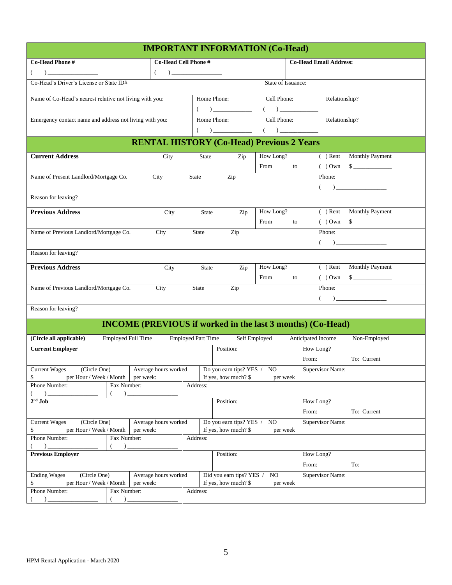| <b>IMPORTANT INFORMATION (Co-Head)</b>                                                                                                                                                                                                                                                                                                           |                      |                           |                                                                                                                                                                                                                                                                                                                                                                                                                                                                                                                                                |                    |    |                               |                  |                                                                                                                                                                                                                                                                                                                                                                    |
|--------------------------------------------------------------------------------------------------------------------------------------------------------------------------------------------------------------------------------------------------------------------------------------------------------------------------------------------------|----------------------|---------------------------|------------------------------------------------------------------------------------------------------------------------------------------------------------------------------------------------------------------------------------------------------------------------------------------------------------------------------------------------------------------------------------------------------------------------------------------------------------------------------------------------------------------------------------------------|--------------------|----|-------------------------------|------------------|--------------------------------------------------------------------------------------------------------------------------------------------------------------------------------------------------------------------------------------------------------------------------------------------------------------------------------------------------------------------|
| Co-Head Phone #                                                                                                                                                                                                                                                                                                                                  | Co-Head Cell Phone # |                           |                                                                                                                                                                                                                                                                                                                                                                                                                                                                                                                                                |                    |    | <b>Co-Head Email Address:</b> |                  |                                                                                                                                                                                                                                                                                                                                                                    |
| $\begin{picture}(20,20)(-0,0) \put(0,0){\line(1,0){10}} \put(15,0){\line(1,0){10}} \put(15,0){\line(1,0){10}} \put(15,0){\line(1,0){10}} \put(15,0){\line(1,0){10}} \put(15,0){\line(1,0){10}} \put(15,0){\line(1,0){10}} \put(15,0){\line(1,0){10}} \put(15,0){\line(1,0){10}} \put(15,0){\line(1,0){10}} \put(15,0){\line(1,0){10}} \put(15,0$ | $($                  |                           |                                                                                                                                                                                                                                                                                                                                                                                                                                                                                                                                                |                    |    |                               |                  |                                                                                                                                                                                                                                                                                                                                                                    |
| Co-Head's Driver's License or State ID#                                                                                                                                                                                                                                                                                                          |                      |                           |                                                                                                                                                                                                                                                                                                                                                                                                                                                                                                                                                | State of Issuance: |    |                               |                  |                                                                                                                                                                                                                                                                                                                                                                    |
| Name of Co-Head's nearest relative not living with you:                                                                                                                                                                                                                                                                                          |                      |                           | Home Phone:                                                                                                                                                                                                                                                                                                                                                                                                                                                                                                                                    | Cell Phone:        |    |                               | Relationship?    |                                                                                                                                                                                                                                                                                                                                                                    |
|                                                                                                                                                                                                                                                                                                                                                  |                      |                           | $( ) \underline{\hspace{1.5cm}} ( ) \underline{\hspace{1.5cm}} ( ) \underline{\hspace{1.5cm}} ( ) \underline{\hspace{1.5cm}} ( ) \underline{\hspace{1.5cm}} ( ) \underline{\hspace{1.5cm}} ( ) \underline{\hspace{1.5cm}} ( ) \underline{\hspace{1.5cm}} ( ) \underline{\hspace{1.5cm}} ( ) \underline{\hspace{1.5cm}} ( ) \underline{\hspace{1.5cm}} ( ) \underline{\hspace{1.5cm}} ( ) \underline{\hspace{1.5cm}} ( ) \underline{\hspace{1.5cm}} ( ) \underline{\hspace{1.5cm}} ( ) \underline{\hspace{1.5cm}} ( ) \underline{\hspace{1.5cm$ |                    |    |                               |                  |                                                                                                                                                                                                                                                                                                                                                                    |
| Emergency contact name and address not living with you:                                                                                                                                                                                                                                                                                          |                      |                           | Home Phone:                                                                                                                                                                                                                                                                                                                                                                                                                                                                                                                                    | Cell Phone:        |    |                               | Relationship?    |                                                                                                                                                                                                                                                                                                                                                                    |
|                                                                                                                                                                                                                                                                                                                                                  |                      |                           | $( \hspace{1cm} ) \underline{\hspace{1cm} (} \hspace{1cm} ) \underline{\hspace{1cm} (} \hspace{1cm} ) \underline{\hspace{1cm} (} \hspace{1cm} ) \underline{\hspace{1cm} (} \hspace{1cm} ) \underline{\hspace{1cm} (} \hspace{1cm} ) \underline{\hspace{1cm} (} \hspace{1cm} ) \underline{\hspace{1cm} (} \hspace{1cm} ) \underline{\hspace{1cm} (} \hspace{1cm} ) \underline{\hspace{1cm} (} \hspace{1cm} ) \underline{\hspace{1cm} (} \hspace{1cm} ) \underline{\hspace{1cm} (} \hspace{1cm} ) \underline$                                    |                    |    |                               |                  |                                                                                                                                                                                                                                                                                                                                                                    |
|                                                                                                                                                                                                                                                                                                                                                  |                      |                           | <b>RENTAL HISTORY (Co-Head) Previous 2 Years</b>                                                                                                                                                                                                                                                                                                                                                                                                                                                                                               |                    |    |                               |                  |                                                                                                                                                                                                                                                                                                                                                                    |
| <b>Current Address</b>                                                                                                                                                                                                                                                                                                                           | City                 | State                     | Zip                                                                                                                                                                                                                                                                                                                                                                                                                                                                                                                                            | How Long?          |    |                               |                  | ( ) Rent Monthly Payment                                                                                                                                                                                                                                                                                                                                           |
|                                                                                                                                                                                                                                                                                                                                                  |                      |                           |                                                                                                                                                                                                                                                                                                                                                                                                                                                                                                                                                | From               | to |                               | $()$ Own         | $\sim$                                                                                                                                                                                                                                                                                                                                                             |
| Name of Present Landlord/Mortgage Co.                                                                                                                                                                                                                                                                                                            | City                 | State                     | Zip                                                                                                                                                                                                                                                                                                                                                                                                                                                                                                                                            |                    |    |                               | Phone:           |                                                                                                                                                                                                                                                                                                                                                                    |
|                                                                                                                                                                                                                                                                                                                                                  |                      |                           |                                                                                                                                                                                                                                                                                                                                                                                                                                                                                                                                                |                    |    |                               | $\left($         | $\begin{tabular}{ c c c c } \hline \quad \quad & \quad \quad & \quad \quad & \quad \quad \\ \hline \end{tabular}$                                                                                                                                                                                                                                                  |
| Reason for leaving?                                                                                                                                                                                                                                                                                                                              |                      |                           |                                                                                                                                                                                                                                                                                                                                                                                                                                                                                                                                                |                    |    |                               |                  |                                                                                                                                                                                                                                                                                                                                                                    |
| <b>Previous Address</b>                                                                                                                                                                                                                                                                                                                          | City                 | State                     | Zip                                                                                                                                                                                                                                                                                                                                                                                                                                                                                                                                            | How Long?          |    |                               |                  | ( ) Rent Monthly Payment                                                                                                                                                                                                                                                                                                                                           |
|                                                                                                                                                                                                                                                                                                                                                  |                      |                           |                                                                                                                                                                                                                                                                                                                                                                                                                                                                                                                                                | From               | to |                               |                  | () Own S                                                                                                                                                                                                                                                                                                                                                           |
| Name of Previous Landlord/Mortgage Co.                                                                                                                                                                                                                                                                                                           | City                 | State                     | Zip                                                                                                                                                                                                                                                                                                                                                                                                                                                                                                                                            |                    |    |                               | Phone:           |                                                                                                                                                                                                                                                                                                                                                                    |
|                                                                                                                                                                                                                                                                                                                                                  |                      |                           |                                                                                                                                                                                                                                                                                                                                                                                                                                                                                                                                                |                    |    |                               |                  | $\begin{picture}(20,20)(-0,0) \put(0,0){\vector(1,0){100}} \put(15,0){\vector(1,0){100}} \put(15,0){\vector(1,0){100}} \put(15,0){\vector(1,0){100}} \put(15,0){\vector(1,0){100}} \put(15,0){\vector(1,0){100}} \put(15,0){\vector(1,0){100}} \put(15,0){\vector(1,0){100}} \put(15,0){\vector(1,0){100}} \put(15,0){\vector(1,0){100}} \put(15,0){\vector(1,0){$ |
| Reason for leaving?                                                                                                                                                                                                                                                                                                                              |                      |                           |                                                                                                                                                                                                                                                                                                                                                                                                                                                                                                                                                |                    |    |                               |                  |                                                                                                                                                                                                                                                                                                                                                                    |
| <b>Previous Address</b>                                                                                                                                                                                                                                                                                                                          | City                 | State                     | Zip                                                                                                                                                                                                                                                                                                                                                                                                                                                                                                                                            | How Long?          |    |                               |                  | ( ) Rent   Monthly Payment                                                                                                                                                                                                                                                                                                                                         |
|                                                                                                                                                                                                                                                                                                                                                  |                      |                           |                                                                                                                                                                                                                                                                                                                                                                                                                                                                                                                                                | From               | to |                               | () Own           | $\frac{1}{1}$                                                                                                                                                                                                                                                                                                                                                      |
| Name of Previous Landlord/Mortgage Co.<br>City                                                                                                                                                                                                                                                                                                   |                      |                           | Zip<br>Phone:<br><b>State</b>                                                                                                                                                                                                                                                                                                                                                                                                                                                                                                                  |                    |    |                               |                  |                                                                                                                                                                                                                                                                                                                                                                    |
|                                                                                                                                                                                                                                                                                                                                                  |                      |                           |                                                                                                                                                                                                                                                                                                                                                                                                                                                                                                                                                |                    |    |                               |                  | $\begin{tabular}{ c c c c } \hline \quad \quad & \quad \quad & \quad \quad & \quad \quad \\ \hline \end{tabular}$                                                                                                                                                                                                                                                  |
| Reason for leaving?                                                                                                                                                                                                                                                                                                                              |                      |                           |                                                                                                                                                                                                                                                                                                                                                                                                                                                                                                                                                |                    |    |                               |                  |                                                                                                                                                                                                                                                                                                                                                                    |
| <b>INCOME (PREVIOUS if worked in the last 3 months) (Co-Head)</b>                                                                                                                                                                                                                                                                                |                      |                           |                                                                                                                                                                                                                                                                                                                                                                                                                                                                                                                                                |                    |    |                               |                  |                                                                                                                                                                                                                                                                                                                                                                    |
| <b>Employed Full Time</b><br>(Circle all applicable)                                                                                                                                                                                                                                                                                             |                      | <b>Employed Part Time</b> | Self Employed                                                                                                                                                                                                                                                                                                                                                                                                                                                                                                                                  |                    |    | Anticipated Income            |                  | Non-Employed                                                                                                                                                                                                                                                                                                                                                       |
| <b>Current Employer</b>                                                                                                                                                                                                                                                                                                                          |                      |                           | Position:                                                                                                                                                                                                                                                                                                                                                                                                                                                                                                                                      |                    |    | How Long?                     |                  |                                                                                                                                                                                                                                                                                                                                                                    |
|                                                                                                                                                                                                                                                                                                                                                  |                      |                           |                                                                                                                                                                                                                                                                                                                                                                                                                                                                                                                                                |                    |    | From:                         |                  | To: Current                                                                                                                                                                                                                                                                                                                                                        |
| <b>Current Wages</b><br>(Circle One)                                                                                                                                                                                                                                                                                                             | Average hours worked |                           | Do you earn tips? YES / NO                                                                                                                                                                                                                                                                                                                                                                                                                                                                                                                     |                    |    |                               | Supervisor Name: |                                                                                                                                                                                                                                                                                                                                                                    |
| per Hour / Week / Month per week:<br>\$                                                                                                                                                                                                                                                                                                          |                      |                           | If yes, how much? \$                                                                                                                                                                                                                                                                                                                                                                                                                                                                                                                           | per week           |    |                               |                  |                                                                                                                                                                                                                                                                                                                                                                    |
| Phone Number:<br>Fax Number:<br>$)$ .                                                                                                                                                                                                                                                                                                            |                      | Address:                  |                                                                                                                                                                                                                                                                                                                                                                                                                                                                                                                                                |                    |    |                               |                  |                                                                                                                                                                                                                                                                                                                                                                    |
| $\lambda$<br>$2^{\rm nd}$ Job                                                                                                                                                                                                                                                                                                                    |                      |                           | Position:                                                                                                                                                                                                                                                                                                                                                                                                                                                                                                                                      |                    |    | How Long?                     |                  |                                                                                                                                                                                                                                                                                                                                                                    |
|                                                                                                                                                                                                                                                                                                                                                  |                      |                           |                                                                                                                                                                                                                                                                                                                                                                                                                                                                                                                                                |                    |    | To: Current<br>From:          |                  |                                                                                                                                                                                                                                                                                                                                                                    |
| <b>Current Wages</b><br>(Circle One)<br>Average hours worked                                                                                                                                                                                                                                                                                     |                      |                           | Do you earn tips? YES / NO                                                                                                                                                                                                                                                                                                                                                                                                                                                                                                                     |                    |    | <b>Supervisor Name:</b>       |                  |                                                                                                                                                                                                                                                                                                                                                                    |
| per Hour / Week / Month<br>\$<br>per week:                                                                                                                                                                                                                                                                                                       |                      |                           | If yes, how much? \$                                                                                                                                                                                                                                                                                                                                                                                                                                                                                                                           | per week           |    |                               |                  |                                                                                                                                                                                                                                                                                                                                                                    |
| Phone Number:<br>Fax Number:                                                                                                                                                                                                                                                                                                                     |                      | Address:                  |                                                                                                                                                                                                                                                                                                                                                                                                                                                                                                                                                |                    |    |                               |                  |                                                                                                                                                                                                                                                                                                                                                                    |
| $($ )                                                                                                                                                                                                                                                                                                                                            |                      |                           |                                                                                                                                                                                                                                                                                                                                                                                                                                                                                                                                                |                    |    |                               |                  |                                                                                                                                                                                                                                                                                                                                                                    |
| <b>Previous Employer</b>                                                                                                                                                                                                                                                                                                                         |                      |                           | Position:                                                                                                                                                                                                                                                                                                                                                                                                                                                                                                                                      |                    |    | How Long?<br>From:            |                  | To:                                                                                                                                                                                                                                                                                                                                                                |
| (Circle One)<br><b>Ending Wages</b>                                                                                                                                                                                                                                                                                                              | Average hours worked |                           | Did you earn tips? YES / NO                                                                                                                                                                                                                                                                                                                                                                                                                                                                                                                    |                    |    |                               | Supervisor Name: |                                                                                                                                                                                                                                                                                                                                                                    |
| \$<br>per Hour / Week / Month<br>per week:                                                                                                                                                                                                                                                                                                       |                      |                           | If yes, how much? \$                                                                                                                                                                                                                                                                                                                                                                                                                                                                                                                           | per week           |    |                               |                  |                                                                                                                                                                                                                                                                                                                                                                    |
| Phone Number:<br>Fax Number:<br>$($ )<br>$)$ $-$                                                                                                                                                                                                                                                                                                 |                      | Address:                  |                                                                                                                                                                                                                                                                                                                                                                                                                                                                                                                                                |                    |    |                               |                  |                                                                                                                                                                                                                                                                                                                                                                    |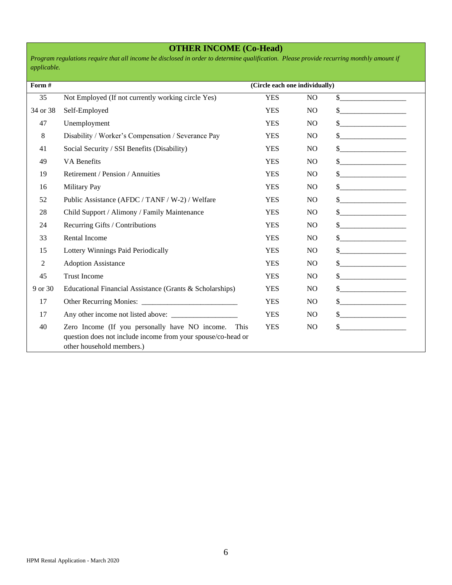## **OTHER INCOME (Co-Head)**

*Program regulations require that all income be disclosed in order to determine qualification. Please provide recurring monthly amount if applicable.*

| Form #   |                                                                                                                                                  | (Circle each one individually) |                |                                                                                                                                                                                                                                                                                                                                                                                                                          |
|----------|--------------------------------------------------------------------------------------------------------------------------------------------------|--------------------------------|----------------|--------------------------------------------------------------------------------------------------------------------------------------------------------------------------------------------------------------------------------------------------------------------------------------------------------------------------------------------------------------------------------------------------------------------------|
| 35       | Not Employed (If not currently working circle Yes)                                                                                               | <b>YES</b>                     | N <sub>O</sub> | $\frac{1}{2}$                                                                                                                                                                                                                                                                                                                                                                                                            |
| 34 or 38 | Self-Employed                                                                                                                                    | <b>YES</b>                     | N <sub>O</sub> | $\frac{1}{2}$                                                                                                                                                                                                                                                                                                                                                                                                            |
| 47       | Unemployment                                                                                                                                     | <b>YES</b>                     | N <sub>O</sub> |                                                                                                                                                                                                                                                                                                                                                                                                                          |
| 8        | Disability / Worker's Compensation / Severance Pay                                                                                               | <b>YES</b>                     | N <sub>O</sub> | $\frac{\text{S}}{\text{S}}$                                                                                                                                                                                                                                                                                                                                                                                              |
| 41       | Social Security / SSI Benefits (Disability)                                                                                                      | <b>YES</b>                     | N <sub>O</sub> | $\sim$                                                                                                                                                                                                                                                                                                                                                                                                                   |
| 49       | <b>VA Benefits</b>                                                                                                                               | <b>YES</b>                     | N <sub>O</sub> |                                                                                                                                                                                                                                                                                                                                                                                                                          |
| 19       | Retirement / Pension / Annuities                                                                                                                 | <b>YES</b>                     | N <sub>O</sub> | $\begin{array}{c c c c c c} \hline \textbf{S} & \textbf{S} & \textbf{S} & \textbf{S} & \textbf{S} & \textbf{S} & \textbf{S} & \textbf{S} & \textbf{S} & \textbf{S} & \textbf{S} & \textbf{S} & \textbf{S} & \textbf{S} & \textbf{S} & \textbf{S} & \textbf{S} & \textbf{S} & \textbf{S} & \textbf{S} & \textbf{S} & \textbf{S} & \textbf{S} & \textbf{S} & \textbf{S} & \textbf{S} & \textbf{S} & \textbf{S} & \textbf{$ |
| 16       | Military Pay                                                                                                                                     | <b>YES</b>                     | N <sub>O</sub> | $\frac{1}{1}$                                                                                                                                                                                                                                                                                                                                                                                                            |
| 52       | Public Assistance (AFDC / TANF / W-2) / Welfare                                                                                                  | <b>YES</b>                     | N <sub>O</sub> | $\frac{1}{2}$                                                                                                                                                                                                                                                                                                                                                                                                            |
| 28       | Child Support / Alimony / Family Maintenance                                                                                                     | <b>YES</b>                     | N <sub>O</sub> |                                                                                                                                                                                                                                                                                                                                                                                                                          |
| 24       | Recurring Gifts / Contributions                                                                                                                  | <b>YES</b>                     | N <sub>O</sub> | $\begin{picture}(20,10) \put(0,0){\vector(1,0){100}} \put(15,0){\vector(1,0){100}} \put(15,0){\vector(1,0){100}} \put(15,0){\vector(1,0){100}} \put(15,0){\vector(1,0){100}} \put(15,0){\vector(1,0){100}} \put(15,0){\vector(1,0){100}} \put(15,0){\vector(1,0){100}} \put(15,0){\vector(1,0){100}} \put(15,0){\vector(1,0){100}} \put(15,0){\vector(1,0){100}} \$                                                      |
| 33       | <b>Rental Income</b>                                                                                                                             | <b>YES</b>                     | N <sub>O</sub> | $\sim$                                                                                                                                                                                                                                                                                                                                                                                                                   |
| 15       | Lottery Winnings Paid Periodically                                                                                                               | <b>YES</b>                     | N <sub>O</sub> |                                                                                                                                                                                                                                                                                                                                                                                                                          |
| 2        | <b>Adoption Assistance</b>                                                                                                                       | <b>YES</b>                     | N <sub>O</sub> | $\frac{1}{1}$                                                                                                                                                                                                                                                                                                                                                                                                            |
| 45       | <b>Trust Income</b>                                                                                                                              | <b>YES</b>                     | N <sub>O</sub> |                                                                                                                                                                                                                                                                                                                                                                                                                          |
| 9 or 30  | Educational Financial Assistance (Grants & Scholarships)                                                                                         | <b>YES</b>                     | N <sub>O</sub> | $\frac{1}{2}$                                                                                                                                                                                                                                                                                                                                                                                                            |
| 17       |                                                                                                                                                  | <b>YES</b>                     | N <sub>O</sub> | $\sim$                                                                                                                                                                                                                                                                                                                                                                                                                   |
| 17       |                                                                                                                                                  | <b>YES</b>                     | N <sub>O</sub> | $\begin{picture}(20,10) \put(0,0){\line(1,0){10}} \put(15,0){\line(1,0){10}} \put(15,0){\line(1,0){10}} \put(15,0){\line(1,0){10}} \put(15,0){\line(1,0){10}} \put(15,0){\line(1,0){10}} \put(15,0){\line(1,0){10}} \put(15,0){\line(1,0){10}} \put(15,0){\line(1,0){10}} \put(15,0){\line(1,0){10}} \put(15,0){\line(1,0){10}} \put(15,0){\line(1$                                                                      |
| 40       | Zero Income (If you personally have NO income. This<br>question does not include income from your spouse/co-head or<br>other household members.) | <b>YES</b>                     | N <sub>O</sub> | $\frac{1}{1}$                                                                                                                                                                                                                                                                                                                                                                                                            |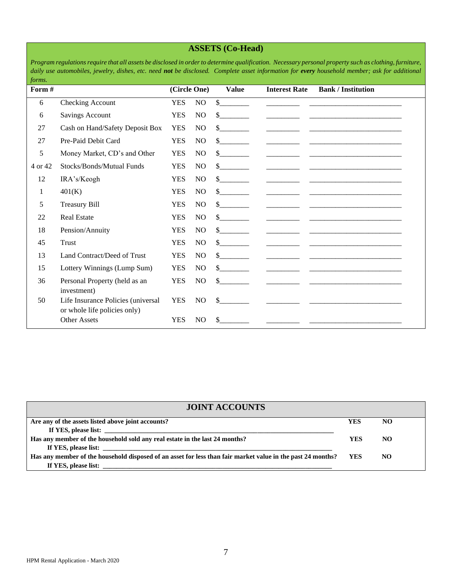## **ASSETS (Co-Head)**

*Program regulations require that all assets be disclosed in order to determine qualification. Necessary personal property such as clothing, furniture, daily use automobiles, jewelry, dishes, etc. need not be disclosed. Complete asset information for every household member; ask for additional forms.*

| Form #  |                                                                    | (Circle One) |                | <b>Value</b>                | <b>Interest Rate</b>                                                                                                                                                                                                                                                                                                                                                                                                                | <b>Bank / Institution</b>                              |
|---------|--------------------------------------------------------------------|--------------|----------------|-----------------------------|-------------------------------------------------------------------------------------------------------------------------------------------------------------------------------------------------------------------------------------------------------------------------------------------------------------------------------------------------------------------------------------------------------------------------------------|--------------------------------------------------------|
| 6       | Checking Account                                                   | <b>YES</b>   | NO.            | \$                          |                                                                                                                                                                                                                                                                                                                                                                                                                                     |                                                        |
| 6       | Savings Account                                                    | <b>YES</b>   | NO             | \$                          |                                                                                                                                                                                                                                                                                                                                                                                                                                     |                                                        |
| 27      | Cash on Hand/Safety Deposit Box                                    | <b>YES</b>   | NO             | $\mathbb{S}$                |                                                                                                                                                                                                                                                                                                                                                                                                                                     |                                                        |
| 27      | Pre-Paid Debit Card                                                | <b>YES</b>   | NO             | $\sim$                      |                                                                                                                                                                                                                                                                                                                                                                                                                                     |                                                        |
| 5       | Money Market, CD's and Other                                       | <b>YES</b>   | NO.            | $\mathbb{S}$                |                                                                                                                                                                                                                                                                                                                                                                                                                                     |                                                        |
| 4 or 42 | Stocks/Bonds/Mutual Funds                                          | <b>YES</b>   | N <sub>O</sub> | $\frac{\text{S}}{\text{S}}$ |                                                                                                                                                                                                                                                                                                                                                                                                                                     |                                                        |
| 12      | IRA's/Keogh                                                        | <b>YES</b>   | N <sub>O</sub> | $\frac{\text{S}}{\text{S}}$ |                                                                                                                                                                                                                                                                                                                                                                                                                                     |                                                        |
| 1       | 401(K)                                                             | <b>YES</b>   | NO.            | $\sim$                      |                                                                                                                                                                                                                                                                                                                                                                                                                                     |                                                        |
| 5       | <b>Treasury Bill</b>                                               | <b>YES</b>   | NO.            | $\frac{\text{S}}{\text{S}}$ | the control of the control of the                                                                                                                                                                                                                                                                                                                                                                                                   |                                                        |
| 22      | <b>Real Estate</b>                                                 | <b>YES</b>   | N <sub>O</sub> | $\mathbb{S}$                | the control of the control of the                                                                                                                                                                                                                                                                                                                                                                                                   |                                                        |
| 18      | Pension/Annuity                                                    | <b>YES</b>   | NO             | $\frac{\text{S}}{\text{S}}$ | and the state of the state of the                                                                                                                                                                                                                                                                                                                                                                                                   |                                                        |
| 45      | Trust                                                              | <b>YES</b>   | N <sub>O</sub> | $\mathcal{S}$               |                                                                                                                                                                                                                                                                                                                                                                                                                                     |                                                        |
| 13      | Land Contract/Deed of Trust                                        | <b>YES</b>   | N <sub>O</sub> | $\mathbb{S}$                | $\begin{array}{cccccccccc} \textbf{1} & \textbf{1} & \textbf{1} & \textbf{1} & \textbf{1} & \textbf{1} & \textbf{1} & \textbf{1} & \textbf{1} & \textbf{1} & \textbf{1} & \textbf{1} & \textbf{1} & \textbf{1} & \textbf{1} & \textbf{1} & \textbf{1} & \textbf{1} & \textbf{1} & \textbf{1} & \textbf{1} & \textbf{1} & \textbf{1} & \textbf{1} & \textbf{1} & \textbf{1} & \textbf{1} & \textbf{1} & \textbf{1} & \textbf{1} & \$ | <u> 1990 - Jan James James Barbara, político e a f</u> |
| 15      | Lottery Winnings (Lump Sum)                                        | <b>YES</b>   | N <sub>O</sub> | $\frac{\text{S}}{\text{S}}$ |                                                                                                                                                                                                                                                                                                                                                                                                                                     |                                                        |
| 36      | Personal Property (held as an<br>investment)                       | <b>YES</b>   | N <sub>O</sub> | $\mathbb{S}$                |                                                                                                                                                                                                                                                                                                                                                                                                                                     |                                                        |
| 50      | Life Insurance Policies (universal<br>or whole life policies only) | <b>YES</b>   | N <sub>O</sub> | \$                          |                                                                                                                                                                                                                                                                                                                                                                                                                                     |                                                        |
|         | Other Assets                                                       | <b>YES</b>   | N <sub>O</sub> | \$                          |                                                                                                                                                                                                                                                                                                                                                                                                                                     |                                                        |

| <b>JOINT ACCOUNTS</b>                                                                                                                        |            |     |  |  |  |  |
|----------------------------------------------------------------------------------------------------------------------------------------------|------------|-----|--|--|--|--|
| Are any of the assets listed above joint accounts?                                                                                           | <b>YES</b> | NO  |  |  |  |  |
|                                                                                                                                              |            |     |  |  |  |  |
| Has any member of the household sold any real estate in the last 24 months?                                                                  | <b>YES</b> | NO  |  |  |  |  |
|                                                                                                                                              |            |     |  |  |  |  |
| Has any member of the household disposed of an asset for less than fair market value in the past 24 months?                                  | YES.       | NO. |  |  |  |  |
| If YES, please list:<br><u> 1989 - Andrea Santa Andrea Andrea Andrea Andrea Andrea Andrea Andrea Andrea Andrea Andrea Andrea Andrea Andr</u> |            |     |  |  |  |  |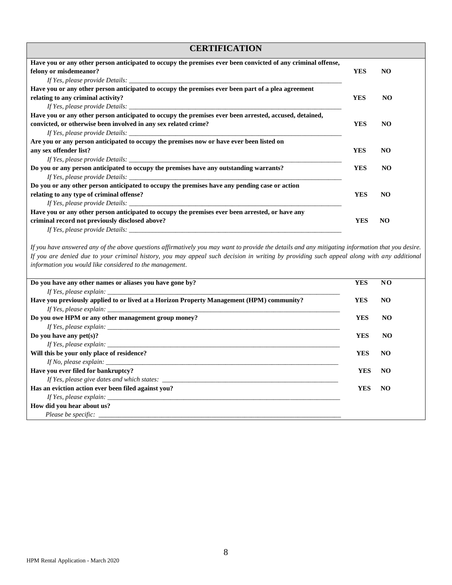### **CERTIFICATION Have you or any other person anticipated to occupy the premises ever been convicted of any criminal offense, felony or misdemeanor? YES NO** *If Yes, please provide Details:* **Have you or any other person anticipated to occupy the premises ever been part of a plea agreement relating to any criminal activity?** NO **YES** NO *If Yes, please provide Details:* **Have you or any other person anticipated to occupy the premises ever been arrested, accused, detained, convicted, or otherwise been involved in any sex related crime? YES NO** *If Yes, please provide Details:* **Are you or any person anticipated to occupy the premises now or have ever been listed on any sex offender list? YES NO** *If Yes, please provide Details:* **Do you or any person anticipated to occupy the premises have any outstanding warrants? YES NO** *If Yes, please provide Details:* **Do you or any other person anticipated to occupy the premises have any pending case or action relating to any type of criminal offense? YES NO** *If Yes, please provide Details:* **Have you or any other person anticipated to occupy the premises ever been arrested, or have any criminal record not previously disclosed above? YES NO** *If Yes, please provide Details:*

*If you have answered any of the above questions affirmatively you may want to provide the details and any mitigating information that you desire. If you are denied due to your criminal history, you may appeal such decision in writing by providing such appeal along with any additional information you would like considered to the management.*

| Do you have any other names or aliases you have gone by?                                  | <b>YES</b> | NO             |
|-------------------------------------------------------------------------------------------|------------|----------------|
|                                                                                           |            |                |
| Have you previously applied to or lived at a Horizon Property Management (HPM) community? | YES        | N <sub>O</sub> |
|                                                                                           |            |                |
| Do you owe HPM or any other management group money?                                       | <b>YES</b> | <b>NO</b>      |
|                                                                                           |            |                |
| Do you have any $pet(s)$ ?                                                                | <b>YES</b> | NO             |
|                                                                                           |            |                |
| Will this be your only place of residence?                                                | <b>YES</b> | NO.            |
| If No, please explain: $\blacksquare$                                                     |            |                |
| Have you ever filed for bankruptcy?                                                       | YES        | NO.            |
| If Yes, please give dates and which states:                                               |            |                |
| Has an eviction action ever been filed against you?                                       | YES        | NO.            |
| If Yes, please explain:                                                                   |            |                |
| How did you hear about us?                                                                |            |                |
|                                                                                           |            |                |